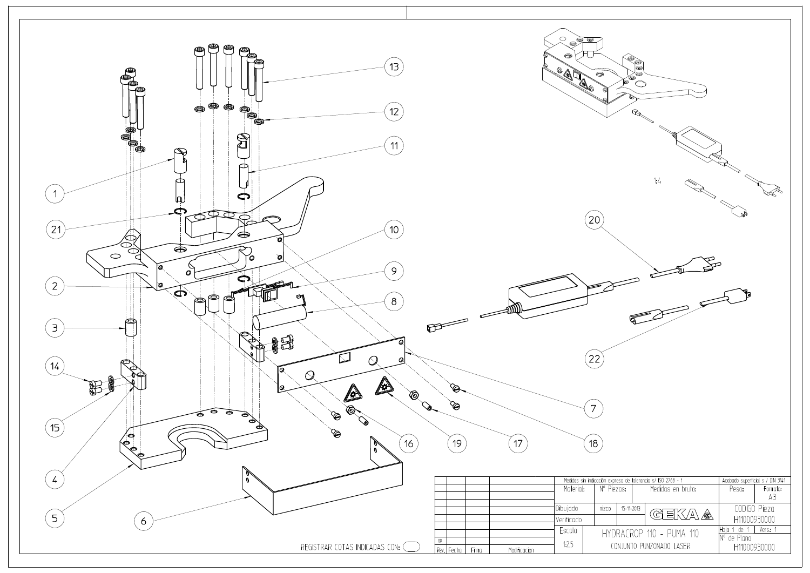

| ҩ<br>๑<br>ຣ<br>Ð<br>œ<br>বি | 1:4                                                       |                                            |          |
|-----------------------------|-----------------------------------------------------------|--------------------------------------------|----------|
| ٩                           |                                                           |                                            |          |
| iezas:                      | xpresa de tolerancia s/ ISO 2768 - f<br>Medidas en bruto: | Acabado superficial s / DIN 3141<br>Peso:  | Formato: |
|                             |                                                           |                                            | A3       |
| 15-11-2013                  | $\exists K/\Delta$<br>◈<br>G                              | CODIGO Pieza<br>H11000930000               |          |
|                             | 'DRACROP 110 - PUMA 110<br>CONJUNTO PUNZONADO LASER       | Hoja 1 de 1<br>N° de Plano<br>H11000930000 | Vers: 1  |